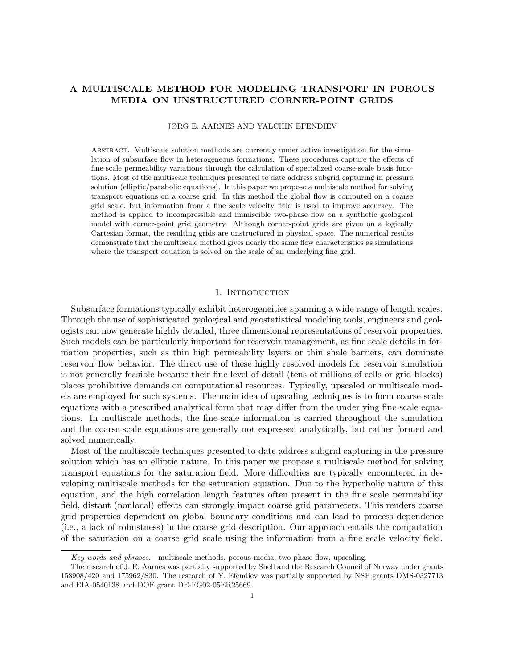# A MULTISCALE METHOD FOR MODELING TRANSPORT IN POROUS MEDIA ON UNSTRUCTURED CORNER-POINT GRIDS

JØRG E. AARNES AND YALCHIN EFENDIEV

Abstract. Multiscale solution methods are currently under active investigation for the simulation of subsurface flow in heterogeneous formations. These procedures capture the effects of fine-scale permeability variations through the calculation of specialized coarse-scale basis functions. Most of the multiscale techniques presented to date address subgrid capturing in pressure solution (elliptic/parabolic equations). In this paper we propose a multiscale method for solving transport equations on a coarse grid. In this method the global flow is computed on a coarse grid scale, but information from a fine scale velocity field is used to improve accuracy. The method is applied to incompressible and immiscible two-phase flow on a synthetic geological model with corner-point grid geometry. Although corner-point grids are given on a logically Cartesian format, the resulting grids are unstructured in physical space. The numerical results demonstrate that the multiscale method gives nearly the same flow characteristics as simulations where the transport equation is solved on the scale of an underlying fine grid.

## 1. INTRODUCTION

Subsurface formations typically exhibit heterogeneities spanning a wide range of length scales. Through the use of sophisticated geological and geostatistical modeling tools, engineers and geologists can now generate highly detailed, three dimensional representations of reservoir properties. Such models can be particularly important for reservoir management, as fine scale details in formation properties, such as thin high permeability layers or thin shale barriers, can dominate reservoir flow behavior. The direct use of these highly resolved models for reservoir simulation is not generally feasible because their fine level of detail (tens of millions of cells or grid blocks) places prohibitive demands on computational resources. Typically, upscaled or multiscale models are employed for such systems. The main idea of upscaling techniques is to form coarse-scale equations with a prescribed analytical form that may differ from the underlying fine-scale equations. In multiscale methods, the fine-scale information is carried throughout the simulation and the coarse-scale equations are generally not expressed analytically, but rather formed and solved numerically.

Most of the multiscale techniques presented to date address subgrid capturing in the pressure solution which has an elliptic nature. In this paper we propose a multiscale method for solving transport equations for the saturation field. More difficulties are typically encountered in developing multiscale methods for the saturation equation. Due to the hyperbolic nature of this equation, and the high correlation length features often present in the fine scale permeability field, distant (nonlocal) effects can strongly impact coarse grid parameters. This renders coarse grid properties dependent on global boundary conditions and can lead to process dependence (i.e., a lack of robustness) in the coarse grid description. Our approach entails the computation of the saturation on a coarse grid scale using the information from a fine scale velocity field.

Key words and phrases. multiscale methods, porous media, two-phase flow, upscaling.

The research of J. E. Aarnes was partially supported by Shell and the Research Council of Norway under grants 158908/420 and 175962/S30. The research of Y. Efendiev was partially supported by NSF grants DMS-0327713 and EIA-0540138 and DOE grant DE-FG02-05ER25669.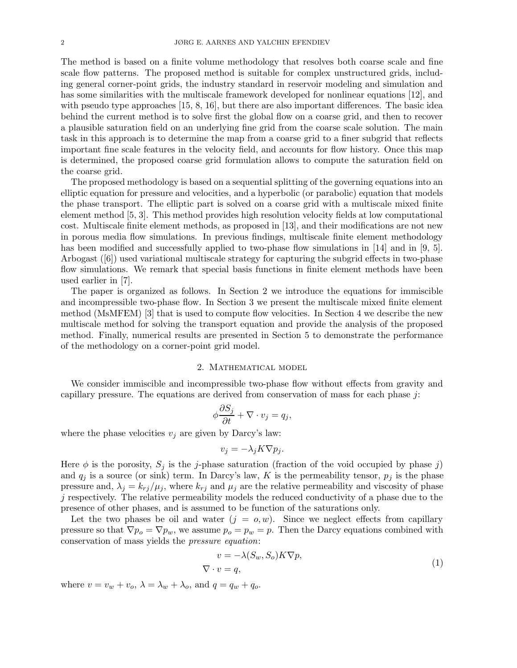The method is based on a finite volume methodology that resolves both coarse scale and fine scale flow patterns. The proposed method is suitable for complex unstructured grids, including general corner-point grids, the industry standard in reservoir modeling and simulation and has some similarities with the multiscale framework developed for nonlinear equations [12], and with pseudo type approaches [15, 8, 16], but there are also important differences. The basic idea behind the current method is to solve first the global flow on a coarse grid, and then to recover a plausible saturation field on an underlying fine grid from the coarse scale solution. The main task in this approach is to determine the map from a coarse grid to a finer subgrid that reflects important fine scale features in the velocity field, and accounts for flow history. Once this map is determined, the proposed coarse grid formulation allows to compute the saturation field on the coarse grid.

The proposed methodology is based on a sequential splitting of the governing equations into an elliptic equation for pressure and velocities, and a hyperbolic (or parabolic) equation that models the phase transport. The elliptic part is solved on a coarse grid with a multiscale mixed finite element method [5, 3]. This method provides high resolution velocity fields at low computational cost. Multiscale finite element methods, as proposed in [13], and their modifications are not new in porous media flow simulations. In previous findings, multiscale finite element methodology has been modified and successfully applied to two-phase flow simulations in [14] and in [9, 5]. Arbogast ([6]) used variational multiscale strategy for capturing the subgrid effects in two-phase flow simulations. We remark that special basis functions in finite element methods have been used earlier in [7].

The paper is organized as follows. In Section 2 we introduce the equations for immiscible and incompressible two-phase flow. In Section 3 we present the multiscale mixed finite element method (MsMFEM) [3] that is used to compute flow velocities. In Section 4 we describe the new multiscale method for solving the transport equation and provide the analysis of the proposed method. Finally, numerical results are presented in Section 5 to demonstrate the performance of the methodology on a corner-point grid model.

#### 2. Mathematical model

We consider immiscible and incompressible two-phase flow without effects from gravity and capillary pressure. The equations are derived from conservation of mass for each phase  $j$ :

$$
\phi \frac{\partial S_j}{\partial t} + \nabla \cdot v_j = q_j,
$$

where the phase velocities  $v_j$  are given by Darcy's law:

$$
v_j = -\lambda_j K \nabla p_j.
$$

Here  $\phi$  is the porosity,  $S_j$  is the j-phase saturation (fraction of the void occupied by phase j) and  $q_j$  is a source (or sink) term. In Darcy's law, K is the permeability tensor,  $p_j$  is the phase pressure and,  $\lambda_j = k_{rj}/\mu_j$ , where  $k_{rj}$  and  $\mu_j$  are the relative permeability and viscosity of phase  $j$  respectively. The relative permeability models the reduced conductivity of a phase due to the presence of other phases, and is assumed to be function of the saturations only.

Let the two phases be oil and water  $(j = 0, w)$ . Since we neglect effects from capillary pressure so that  $\nabla p_o = \nabla p_w$ , we assume  $p_o = p_w = p$ . Then the Darcy equations combined with conservation of mass yields the pressure equation:

$$
v = -\lambda(S_w, S_o)K\nabla p,
$$
  

$$
\nabla \cdot v = q,
$$
 (1)

where  $v = v_w + v_o$ ,  $\lambda = \lambda_w + \lambda_o$ , and  $q = q_w + q_o$ .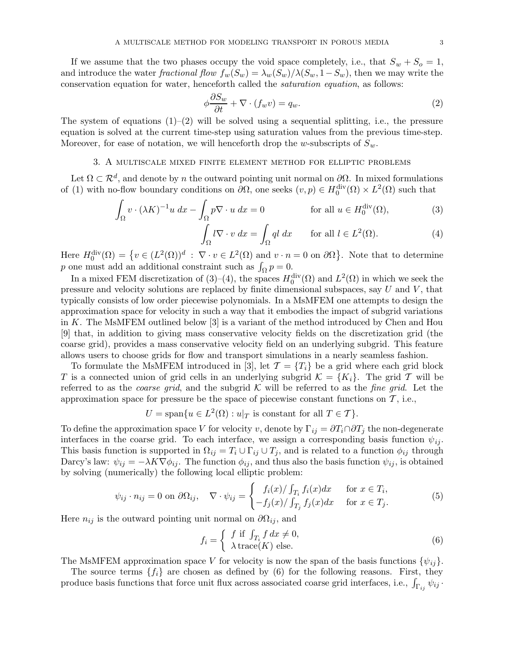If we assume that the two phases occupy the void space completely, i.e., that  $S_w + S_o = 1$ , and introduce the water fractional flow  $f_w(S_w) = \lambda_w(S_w)/\lambda(S_w, 1-S_w)$ , then we may write the conservation equation for water, henceforth called the saturation equation, as follows:

$$
\phi \frac{\partial S_w}{\partial t} + \nabla \cdot (f_w v) = q_w.
$$
\n(2)

The system of equations  $(1)$ – $(2)$  will be solved using a sequential splitting, i.e., the pressure equation is solved at the current time-step using saturation values from the previous time-step. Moreover, for ease of notation, we will henceforth drop the w-subscripts of  $S_w$ .

# 3. A multiscale mixed finite element method for elliptic problems

Let  $\Omega \subset \mathcal{R}^d$ , and denote by n the outward pointing unit normal on  $\partial\Omega$ . In mixed formulations of (1) with no-flow boundary conditions on  $\partial\Omega$ , one seeks  $(v, p) \in H_0^{\text{div}}(\Omega) \times L^2(\Omega)$  such that

$$
\int_{\Omega} v \cdot (\lambda K)^{-1} u \, dx - \int_{\Omega} p \nabla \cdot u \, dx = 0 \qquad \text{for all } u \in H_0^{\text{div}}(\Omega), \tag{3}
$$

$$
\int_{\Omega} l \nabla \cdot v \, dx = \int_{\Omega} q l \, dx \qquad \text{for all } l \in L^{2}(\Omega). \tag{4}
$$

Here  $H_0^{\text{div}}(\Omega) = \{v \in (L^2(\Omega))^d : \nabla \cdot v \in L^2(\Omega) \text{ and } v \cdot n = 0 \text{ on } \partial \Omega\}$ . Note that to determine p one must add an additional constraint such as  $\int_{\Omega} p = 0$ .

In a mixed FEM discretization of (3)–(4), the spaces  $H_0^{\text{div}}(\Omega)$  and  $L^2(\Omega)$  in which we seek the pressure and velocity solutions are replaced by finite dimensional subspaces, say  $U$  and  $V$ , that typically consists of low order piecewise polynomials. In a MsMFEM one attempts to design the approximation space for velocity in such a way that it embodies the impact of subgrid variations in K. The MsMFEM outlined below [3] is a variant of the method introduced by Chen and Hou [9] that, in addition to giving mass conservative velocity fields on the discretization grid (the coarse grid), provides a mass conservative velocity field on an underlying subgrid. This feature allows users to choose grids for flow and transport simulations in a nearly seamless fashion.

To formulate the MsMFEM introduced in [3], let  $\mathcal{T} = \{T_i\}$  be a grid where each grid block T is a connected union of grid cells in an underlying subgrid  $\mathcal{K} = \{K_i\}$ . The grid T will be referred to as the *coarse grid*, and the subgrid K will be referred to as the *fine grid*. Let the approximation space for pressure be the space of piecewise constant functions on  $\mathcal{T}$ , i.e.,

$$
U = \text{span}\{u \in L^2(\Omega) : u|_T \text{ is constant for all } T \in \mathcal{T}\}.
$$

To define the approximation space V for velocity v, denote by  $\Gamma_{ij} = \partial T_i \cap \partial T_j$  the non-degenerate interfaces in the coarse grid. To each interface, we assign a corresponding basis function  $\psi_{ij}$ . This basis function is supported in  $\Omega_{ij} = T_i \cup \Gamma_{ij} \cup T_j$ , and is related to a function  $\phi_{ij}$  through Darcy's law:  $\psi_{ij} = -\lambda K \nabla \phi_{ij}$ . The function  $\phi_{ij}$ , and thus also the basis function  $\psi_{ij}$ , is obtained by solving (numerically) the following local elliptic problem:

$$
\psi_{ij} \cdot n_{ij} = 0 \text{ on } \partial \Omega_{ij}, \quad \nabla \cdot \psi_{ij} = \begin{cases} f_i(x) / \int_{T_i} f_i(x) dx & \text{for } x \in T_i, \\ -f_j(x) / \int_{T_j} f_j(x) dx & \text{for } x \in T_j. \end{cases} \tag{5}
$$

Here  $n_{ij}$  is the outward pointing unit normal on  $\partial\Omega_{ij}$ , and

$$
f_i = \begin{cases} f \text{ if } \int_{T_i} f \, dx \neq 0, \\ \lambda \operatorname{trace}(K) \text{ else.} \end{cases} \tag{6}
$$

The MsMFEM approximation space V for velocity is now the span of the basis functions  $\{\psi_{ij}\}.$ 

The source terms  $\{f_i\}$  are chosen as defined by (6) for the following reasons. First, they produce basis functions that force unit flux across associated coarse grid interfaces, i.e.,  $\int_{\Gamma_{ij}} \psi_{ij}$ .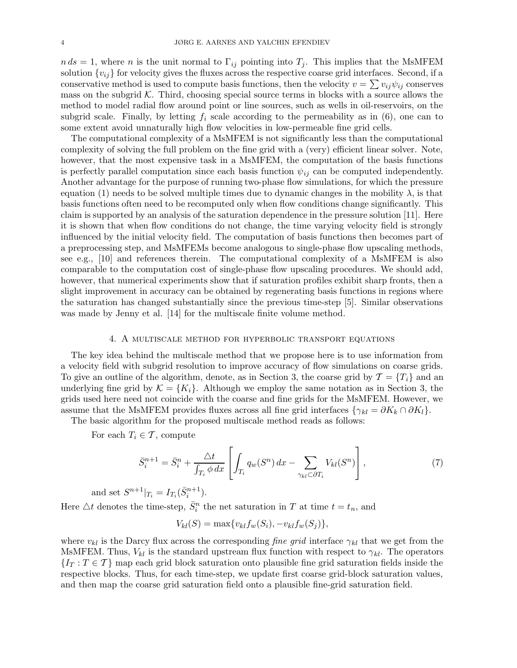$n ds = 1$ , where n is the unit normal to  $\Gamma_{ij}$  pointing into  $T_j$ . This implies that the MsMFEM solution  $\{v_{ij}\}$  for velocity gives the fluxes across the respective coarse grid interfaces. Second, if a conservative method is used to compute basis functions, then the velocity  $v = \sum v_{ij} \psi_{ij}$  conserves mass on the subgrid  $K$ . Third, choosing special source terms in blocks with a source allows the method to model radial flow around point or line sources, such as wells in oil-reservoirs, on the subgrid scale. Finally, by letting  $f_i$  scale according to the permeability as in (6), one can to some extent avoid unnaturally high flow velocities in low-permeable fine grid cells.

The computational complexity of a MsMFEM is not significantly less than the computational complexity of solving the full problem on the fine grid with a (very) efficient linear solver. Note, however, that the most expensive task in a MsMFEM, the computation of the basis functions is perfectly parallel computation since each basis function  $\psi_{ij}$  can be computed independently. Another advantage for the purpose of running two-phase flow simulations, for which the pressure equation (1) needs to be solved multiple times due to dynamic changes in the mobility  $\lambda$ , is that basis functions often need to be recomputed only when flow conditions change significantly. This claim is supported by an analysis of the saturation dependence in the pressure solution [11]. Here it is shown that when flow conditions do not change, the time varying velocity field is strongly influenced by the initial velocity field. The computation of basis functions then becomes part of a preprocessing step, and MsMFEMs become analogous to single-phase flow upscaling methods, see e.g., [10] and references therein. The computational complexity of a MsMFEM is also comparable to the computation cost of single-phase flow upscaling procedures. We should add, however, that numerical experiments show that if saturation profiles exhibit sharp fronts, then a slight improvement in accuracy can be obtained by regenerating basis functions in regions where the saturation has changed substantially since the previous time-step [5]. Similar observations was made by Jenny et al. [14] for the multiscale finite volume method.

# 4. A multiscale method for hyperbolic transport equations

The key idea behind the multiscale method that we propose here is to use information from a velocity field with subgrid resolution to improve accuracy of flow simulations on coarse grids. To give an outline of the algorithm, denote, as in Section 3, the coarse grid by  $\mathcal{T} = \{T_i\}$  and an underlying fine grid by  $\mathcal{K} = \{K_i\}$ . Although we employ the same notation as in Section 3, the grids used here need not coincide with the coarse and fine grids for the MsMFEM. However, we assume that the MsMFEM provides fluxes across all fine grid interfaces  $\{\gamma_{kl} = \partial K_k \cap \partial K_l\}.$ 

The basic algorithm for the proposed multiscale method reads as follows:

For each  $T_i \in \mathcal{T}$ , compute

$$
\bar{S}_i^{n+1} = \bar{S}_i^n + \frac{\triangle t}{\int_{T_i} \phi \, dx} \left[ \int_{T_i} q_w(S^n) \, dx - \sum_{\gamma_{kl} \subset \partial T_i} V_{kl}(S^n) \right],\tag{7}
$$

and set  $S^{n+1}|_{T_i} = I_{T_i}(\bar{S}_i^{n+1}).$ 

Here  $\triangle t$  denotes the time-step,  $\bar{S}_i^n$  the net saturation in T at time  $t = t_n$ , and

$$
V_{kl}(S) = \max\{v_{kl}f_w(S_i), -v_{kl}f_w(S_j)\},\,
$$

where  $v_{kl}$  is the Darcy flux across the corresponding *fine grid* interface  $\gamma_{kl}$  that we get from the MsMFEM. Thus,  $V_{kl}$  is the standard upstream flux function with respect to  $\gamma_{kl}$ . The operators  $\{I_T : T \in \mathcal{T}\}\$  map each grid block saturation onto plausible fine grid saturation fields inside the respective blocks. Thus, for each time-step, we update first coarse grid-block saturation values, and then map the coarse grid saturation field onto a plausible fine-grid saturation field.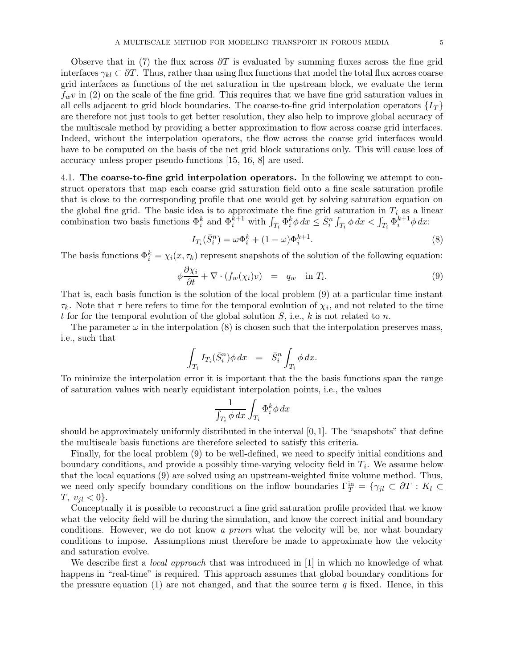Observe that in (7) the flux across  $\partial T$  is evaluated by summing fluxes across the fine grid interfaces  $\gamma_{kl} \subset \partial T$ . Thus, rather than using flux functions that model the total flux across coarse grid interfaces as functions of the net saturation in the upstream block, we evaluate the term  $f_wv$  in (2) on the scale of the fine grid. This requires that we have fine grid saturation values in all cells adjacent to grid block boundaries. The coarse-to-fine grid interpolation operators  $\{I_T\}$ are therefore not just tools to get better resolution, they also help to improve global accuracy of the multiscale method by providing a better approximation to flow across coarse grid interfaces. Indeed, without the interpolation operators, the flow across the coarse grid interfaces would have to be computed on the basis of the net grid block saturations only. This will cause loss of accuracy unless proper pseudo-functions [15, 16, 8] are used.

4.1. The coarse-to-fine grid interpolation operators. In the following we attempt to construct operators that map each coarse grid saturation field onto a fine scale saturation profile that is close to the corresponding profile that one would get by solving saturation equation on the global fine grid. The basic idea is to approximate the fine grid saturation in  $T_i$  as a linear combination two basis functions  $\Phi_i^k$  and  $\Phi_i^{k+1}$  with  $\int_{T_i} \Phi_i^k \phi \, dx \leq \bar{S}_i^n \int_{T_i} \phi \, dx < \int_{T_i} \Phi_i^{k+1} \phi \, dx$ :

$$
I_{T_i}(\bar{S}_i^n) = \omega \Phi_i^k + (1 - \omega) \Phi_i^{k+1}.
$$
\n(8)

The basis functions  $\Phi_i^k = \chi_i(x, \tau_k)$  represent snapshots of the solution of the following equation:

$$
\phi \frac{\partial \chi_i}{\partial t} + \nabla \cdot (f_w(\chi_i)v) = q_w \quad \text{in } T_i.
$$
\n(9)

That is, each basis function is the solution of the local problem (9) at a particular time instant  $\tau_k$ . Note that  $\tau$  here refers to time for the temporal evolution of  $\chi_i$ , and not related to the time t for for the temporal evolution of the global solution  $S$ , i.e., k is not related to n.

The parameter  $\omega$  in the interpolation (8) is chosen such that the interpolation preserves mass, i.e., such that

$$
\int_{T_i} I_{T_i}(\bar{S}_i^n) \phi \, dx = \bar{S}_i^n \int_{T_i} \phi \, dx.
$$

To minimize the interpolation error it is important that the the basis functions span the range of saturation values with nearly equidistant interpolation points, i.e., the values

$$
\frac{1}{\int_{T_i} \phi \, dx} \int_{T_i} \Phi_i^k \phi \, dx
$$

should be approximately uniformly distributed in the interval  $[0, 1]$ . The "snapshots" that define the multiscale basis functions are therefore selected to satisfy this criteria.

Finally, for the local problem (9) to be well-defined, we need to specify initial conditions and boundary conditions, and provide a possibly time-varying velocity field in  $T_i$ . We assume below that the local equations (9) are solved using an upstream-weighted finite volume method. Thus, we need only specify boundary conditions on the inflow boundaries  $\Gamma_T^{\text{in}} = \{\gamma_{jl} \subset \partial T : K_l \subset$  $T, v_{il} < 0$ .

Conceptually it is possible to reconstruct a fine grid saturation profile provided that we know what the velocity field will be during the simulation, and know the correct initial and boundary conditions. However, we do not know a priori what the velocity will be, nor what boundary conditions to impose. Assumptions must therefore be made to approximate how the velocity and saturation evolve.

We describe first a *local approach* that was introduced in [1] in which no knowledge of what happens in "real-time" is required. This approach assumes that global boundary conditions for the pressure equation (1) are not changed, and that the source term  $q$  is fixed. Hence, in this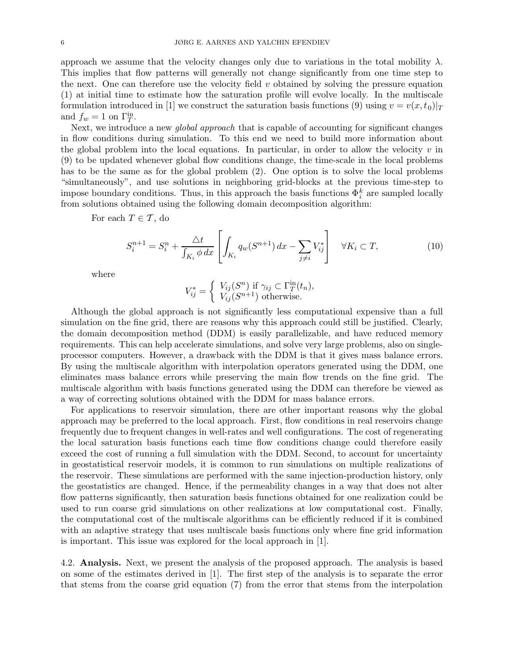approach we assume that the velocity changes only due to variations in the total mobility  $\lambda$ . This implies that flow patterns will generally not change significantly from one time step to the next. One can therefore use the velocity field  $v$  obtained by solving the pressure equation (1) at initial time to estimate how the saturation profile will evolve locally. In the multiscale formulation introduced in [1] we construct the saturation basis functions (9) using  $v = v(x,t_0)|_T$ and  $f_w = 1$  on  $\Gamma_T^{\text{in}}$ .

Next, we introduce a new *global approach* that is capable of accounting for significant changes in flow conditions during simulation. To this end we need to build more information about the global problem into the local equations. In particular, in order to allow the velocity  $v$  in (9) to be updated whenever global flow conditions change, the time-scale in the local problems has to be the same as for the global problem (2). One option is to solve the local problems "simultaneously", and use solutions in neighboring grid-blocks at the previous time-step to impose boundary conditions. Thus, in this approach the basis functions  $\Phi_i^k$  are sampled locally from solutions obtained using the following domain decomposition algorithm:

For each  $T \in \mathcal{T}$ , do

$$
S_i^{n+1} = S_i^n + \frac{\Delta t}{\int_{K_i} \phi \, dx} \left[ \int_{K_i} q_w(S^{n+1}) \, dx - \sum_{j \neq i} V_{ij}^* \right] \quad \forall K_i \subset T,
$$
\n
$$
(10)
$$

where

$$
V_{ij}^* = \begin{cases} V_{ij}(S^n) & \text{if } \gamma_{ij} \subset \Gamma_T^{\text{in}}(t_n), \\ V_{ij}(S^{n+1}) & \text{otherwise.} \end{cases}
$$

Although the global approach is not significantly less computational expensive than a full simulation on the fine grid, there are reasons why this approach could still be justified. Clearly, the domain decomposition method (DDM) is easily parallelizable, and have reduced memory requirements. This can help accelerate simulations, and solve very large problems, also on singleprocessor computers. However, a drawback with the DDM is that it gives mass balance errors. By using the multiscale algorithm with interpolation operators generated using the DDM, one eliminates mass balance errors while preserving the main flow trends on the fine grid. The multiscale algorithm with basis functions generated using the DDM can therefore be viewed as a way of correcting solutions obtained with the DDM for mass balance errors.

For applications to reservoir simulation, there are other important reasons why the global approach may be preferred to the local approach. First, flow conditions in real reservoirs change frequently due to frequent changes in well-rates and well configurations. The cost of regenerating the local saturation basis functions each time flow conditions change could therefore easily exceed the cost of running a full simulation with the DDM. Second, to account for uncertainty in geostatistical reservoir models, it is common to run simulations on multiple realizations of the reservoir. These simulations are performed with the same injection-production history, only the geostatistics are changed. Hence, if the permeability changes in a way that does not alter flow patterns significantly, then saturation basis functions obtained for one realization could be used to run coarse grid simulations on other realizations at low computational cost. Finally, the computational cost of the multiscale algorithms can be efficiently reduced if it is combined with an adaptive strategy that uses multiscale basis functions only where fine grid information is important. This issue was explored for the local approach in [1].

4.2. Analysis. Next, we present the analysis of the proposed approach. The analysis is based on some of the estimates derived in [1]. The first step of the analysis is to separate the error that stems from the coarse grid equation (7) from the error that stems from the interpolation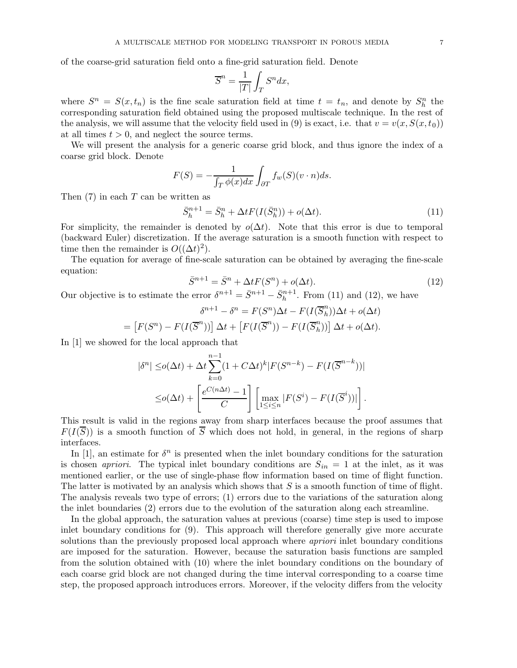of the coarse-grid saturation field onto a fine-grid saturation field. Denote

$$
\overline{S}^n = \frac{1}{|T|} \int_T S^n dx,
$$

where  $S^n = S(x, t_n)$  is the fine scale saturation field at time  $t = t_n$ , and denote by  $S_h^n$  the corresponding saturation field obtained using the proposed multiscale technique. In the rest of the analysis, we will assume that the velocity field used in (9) is exact, i.e. that  $v = v(x, S(x, t_0))$ at all times  $t > 0$ , and neglect the source terms.

We will present the analysis for a generic coarse grid block, and thus ignore the index of a coarse grid block. Denote

$$
F(S) = -\frac{1}{\int_T \phi(x)dx} \int_{\partial T} f_w(S)(v \cdot n)ds.
$$

Then  $(7)$  in each T can be written as

$$
\bar{S}_h^{n+1} = \bar{S}_h^n + \Delta t F(I(\bar{S}_h^n)) + o(\Delta t). \tag{11}
$$

For simplicity, the remainder is denoted by  $o(\Delta t)$ . Note that this error is due to temporal (backward Euler) discretization. If the average saturation is a smooth function with respect to time then the remainder is  $O((\Delta t)^2)$ .

The equation for average of fine-scale saturation can be obtained by averaging the fine-scale equation:

$$
\bar{S}^{n+1} = \bar{S}^n + \Delta t F(S^n) + o(\Delta t). \tag{12}
$$

Our objective is to estimate the error  $\delta^{n+1} = \bar{S}^{n+1} - \bar{S}^{n+1}_h$ . From (11) and (12), we have

$$
\delta^{n+1} - \delta^n = F(S^n)\Delta t - F(I(\overline{S}_h^n))\Delta t + o(\Delta t)
$$

$$
= [F(S^n) - F(I(\overline{S}^n))] \Delta t + [F(I(\overline{S}^n)) - F(I(\overline{S}_h^n))] \Delta t + o(\Delta t).
$$

In [1] we showed for the local approach that

$$
|\delta^n| \leq o(\Delta t) + \Delta t \sum_{k=0}^{n-1} (1 + C\Delta t)^k |F(S^{n-k}) - F(I(\overline{S}^{n-k}))|
$$
  

$$
\leq o(\Delta t) + \left[ \frac{e^{C(n\Delta t)} - 1}{C} \right] \left[ \max_{1 \leq i \leq n} |F(S^i) - F(I(\overline{S}^i))| \right].
$$

This result is valid in the regions away from sharp interfaces because the proof assumes that  $F(I(\overline{S}))$  is a smooth function of  $\overline{S}$  which does not hold, in general, in the regions of sharp interfaces.

In [1], an estimate for  $\delta^n$  is presented when the inlet boundary conditions for the saturation is chosen *apriori*. The typical inlet boundary conditions are  $S_{in} = 1$  at the inlet, as it was mentioned earlier, or the use of single-phase flow information based on time of flight function. The latter is motivated by an analysis which shows that  $S$  is a smooth function of time of flight. The analysis reveals two type of errors; (1) errors due to the variations of the saturation along the inlet boundaries (2) errors due to the evolution of the saturation along each streamline.

In the global approach, the saturation values at previous (coarse) time step is used to impose inlet boundary conditions for (9). This approach will therefore generally give more accurate solutions than the previously proposed local approach where *apriori* inlet boundary conditions are imposed for the saturation. However, because the saturation basis functions are sampled from the solution obtained with (10) where the inlet boundary conditions on the boundary of each coarse grid block are not changed during the time interval corresponding to a coarse time step, the proposed approach introduces errors. Moreover, if the velocity differs from the velocity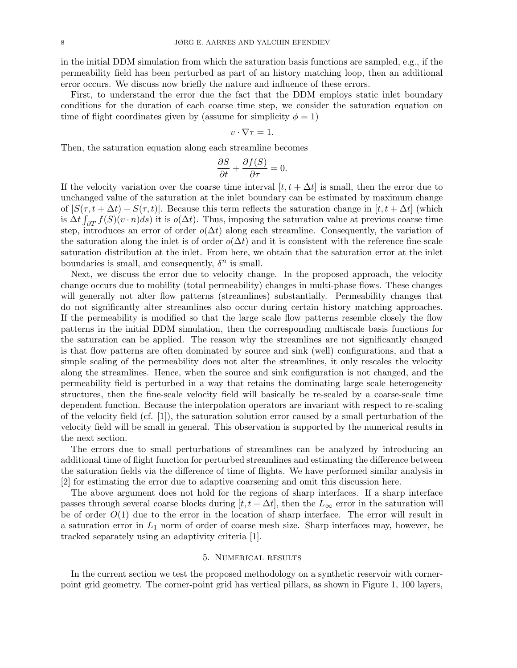in the initial DDM simulation from which the saturation basis functions are sampled, e.g., if the permeability field has been perturbed as part of an history matching loop, then an additional error occurs. We discuss now briefly the nature and influence of these errors.

First, to understand the error due the fact that the DDM employs static inlet boundary conditions for the duration of each coarse time step, we consider the saturation equation on time of flight coordinates given by (assume for simplicity  $\phi = 1$ )

$$
v\cdot\nabla\tau=1.
$$

Then, the saturation equation along each streamline becomes

$$
\frac{\partial S}{\partial t} + \frac{\partial f(S)}{\partial \tau} = 0.
$$

If the velocity variation over the coarse time interval  $[t, t + \Delta t]$  is small, then the error due to unchanged value of the saturation at the inlet boundary can be estimated by maximum change of  $|S(\tau,t + \Delta t) - S(\tau,t)|$ . Because this term reflects the saturation change in  $[t, t + \Delta t]$  (which is  $\Delta t \int_{\partial T} f(S)(v \cdot n) ds$ ) it is  $o(\Delta t)$ . Thus, imposing the saturation value at previous coarse time step, introduces an error of order  $o(\Delta t)$  along each streamline. Consequently, the variation of the saturation along the inlet is of order  $o(\Delta t)$  and it is consistent with the reference fine-scale saturation distribution at the inlet. From here, we obtain that the saturation error at the inlet boundaries is small, and consequently,  $\delta^n$  is small.

Next, we discuss the error due to velocity change. In the proposed approach, the velocity change occurs due to mobility (total permeability) changes in multi-phase flows. These changes will generally not alter flow patterns (streamlines) substantially. Permeability changes that do not significantly alter streamlines also occur during certain history matching approaches. If the permeability is modified so that the large scale flow patterns resemble closely the flow patterns in the initial DDM simulation, then the corresponding multiscale basis functions for the saturation can be applied. The reason why the streamlines are not significantly changed is that flow patterns are often dominated by source and sink (well) configurations, and that a simple scaling of the permeability does not alter the streamlines, it only rescales the velocity along the streamlines. Hence, when the source and sink configuration is not changed, and the permeability field is perturbed in a way that retains the dominating large scale heterogeneity structures, then the fine-scale velocity field will basically be re-scaled by a coarse-scale time dependent function. Because the interpolation operators are invariant with respect to re-scaling of the velocity field (cf. [1]), the saturation solution error caused by a small perturbation of the velocity field will be small in general. This observation is supported by the numerical results in the next section.

The errors due to small perturbations of streamlines can be analyzed by introducing an additional time of flight function for perturbed streamlines and estimating the difference between the saturation fields via the difference of time of flights. We have performed similar analysis in [2] for estimating the error due to adaptive coarsening and omit this discussion here.

The above argument does not hold for the regions of sharp interfaces. If a sharp interface passes through several coarse blocks during  $[t, t + \Delta t]$ , then the  $L_{\infty}$  error in the saturation will be of order  $O(1)$  due to the error in the location of sharp interface. The error will result in a saturation error in  $L_1$  norm of order of coarse mesh size. Sharp interfaces may, however, be tracked separately using an adaptivity criteria [1].

### 5. Numerical results

In the current section we test the proposed methodology on a synthetic reservoir with cornerpoint grid geometry. The corner-point grid has vertical pillars, as shown in Figure 1, 100 layers,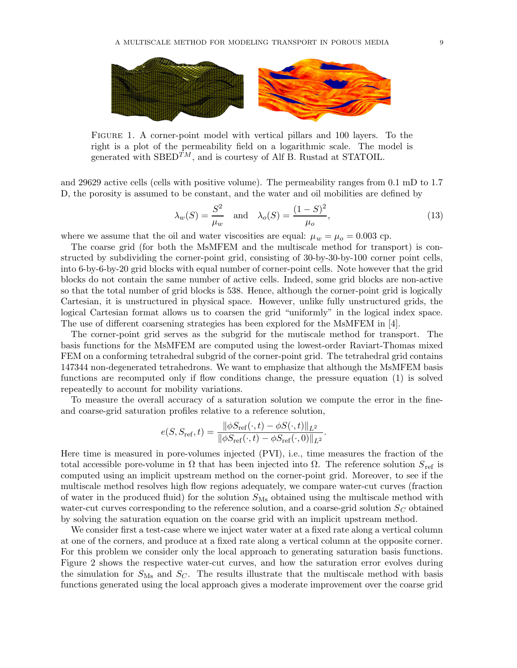

Figure 1. A corner-point model with vertical pillars and 100 layers. To the right is a plot of the permeability field on a logarithmic scale. The model is generated with  $\text{SBED}^{TM}$ , and is courtesy of Alf B. Rustad at STATOIL.

and 29629 active cells (cells with positive volume). The permeability ranges from 0.1 mD to 1.7 D, the porosity is assumed to be constant, and the water and oil mobilities are defined by

$$
\lambda_w(S) = \frac{S^2}{\mu_w} \quad \text{and} \quad \lambda_o(S) = \frac{(1 - S)^2}{\mu_o},\tag{13}
$$

where we assume that the oil and water viscosities are equal:  $\mu_w = \mu_o = 0.003$  cp.

The coarse grid (for both the MsMFEM and the multiscale method for transport) is constructed by subdividing the corner-point grid, consisting of 30-by-30-by-100 corner point cells, into 6-by-6-by-20 grid blocks with equal number of corner-point cells. Note however that the grid blocks do not contain the same number of active cells. Indeed, some grid blocks are non-active so that the total number of grid blocks is 538. Hence, although the corner-point grid is logically Cartesian, it is unstructured in physical space. However, unlike fully unstructured grids, the logical Cartesian format allows us to coarsen the grid "uniformly" in the logical index space. The use of different coarsening strategies has been explored for the MsMFEM in [4].

The corner-point grid serves as the subgrid for the mutiscale method for transport. The basis functions for the MsMFEM are computed using the lowest-order Raviart-Thomas mixed FEM on a conforming tetrahedral subgrid of the corner-point grid. The tetrahedral grid contains 147344 non-degenerated tetrahedrons. We want to emphasize that although the MsMFEM basis functions are recomputed only if flow conditions change, the pressure equation (1) is solved repeatedly to account for mobility variations.

To measure the overall accuracy of a saturation solution we compute the error in the fineand coarse-grid saturation profiles relative to a reference solution,

$$
e(S, S_{\text{ref}}, t) = \frac{\|\phi S_{\text{ref}}(\cdot, t) - \phi S(\cdot, t)\|_{L^2}}{\|\phi S_{\text{ref}}(\cdot, t) - \phi S_{\text{ref}}(\cdot, 0)\|_{L^2}}.
$$

Here time is measured in pore-volumes injected (PVI), i.e., time measures the fraction of the total accessible pore-volume in  $\Omega$  that has been injected into  $\Omega$ . The reference solution  $S_{\text{ref}}$  is computed using an implicit upstream method on the corner-point grid. Moreover, to see if the multiscale method resolves high flow regions adequately, we compare water-cut curves (fraction of water in the produced fluid) for the solution  $S_{\text{Ms}}$  obtained using the multiscale method with water-cut curves corresponding to the reference solution, and a coarse-grid solution  $S_C$  obtained by solving the saturation equation on the coarse grid with an implicit upstream method.

We consider first a test-case where we inject water water at a fixed rate along a vertical column at one of the corners, and produce at a fixed rate along a vertical column at the opposite corner. For this problem we consider only the local approach to generating saturation basis functions. Figure 2 shows the respective water-cut curves, and how the saturation error evolves during the simulation for  $S_{\text{Ms}}$  and  $S_{\text{C}}$ . The results illustrate that the multiscale method with basis functions generated using the local approach gives a moderate improvement over the coarse grid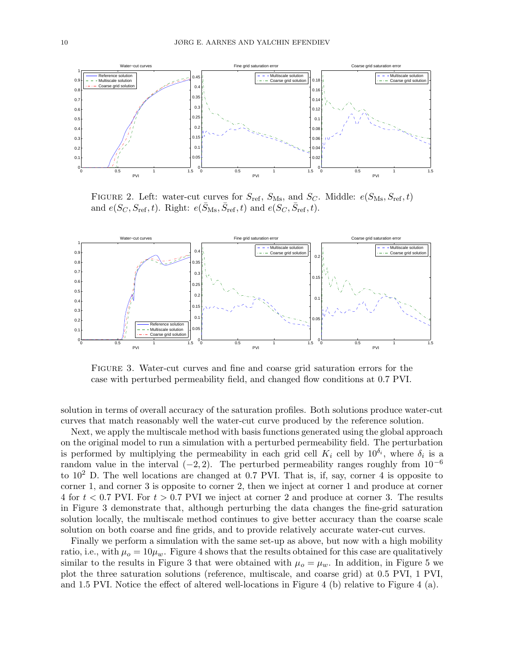

FIGURE 2. Left: water-cut curves for  $S_{\text{ref}}$ ,  $S_{\text{Ms}}$ , and  $S_C$ . Middle:  $e(S_{\text{Ms}}, S_{\text{ref}}, t)$ and  $e(S_C, S_{\text{ref}}, t)$ . Right:  $e(\bar{S}_{\text{Ms}}, \bar{S}_{\text{ref}}, t)$  and  $e(S_C, \bar{S}_{\text{ref}}, t)$ .



Figure 3. Water-cut curves and fine and coarse grid saturation errors for the case with perturbed permeability field, and changed flow conditions at 0.7 PVI.

solution in terms of overall accuracy of the saturation profiles. Both solutions produce water-cut curves that match reasonably well the water-cut curve produced by the reference solution.

Next, we apply the multiscale method with basis functions generated using the global approach on the original model to run a simulation with a perturbed permeability field. The perturbation is performed by multiplying the permeability in each grid cell  $K_i$  cell by  $10^{\delta_i}$ , where  $\delta_i$  is a random value in the interval  $(-2, 2)$ . The perturbed permeability ranges roughly from  $10^{-6}$ to  $10^2$  D. The well locations are changed at 0.7 PVI. That is, if, say, corner 4 is opposite to corner 1, and corner 3 is opposite to corner 2, then we inject at corner 1 and produce at corner 4 for  $t < 0.7$  PVI. For  $t > 0.7$  PVI we inject at corner 2 and produce at corner 3. The results in Figure 3 demonstrate that, although perturbing the data changes the fine-grid saturation solution locally, the multiscale method continues to give better accuracy than the coarse scale solution on both coarse and fine grids, and to provide relatively accurate water-cut curves.

Finally we perform a simulation with the same set-up as above, but now with a high mobility ratio, i.e., with  $\mu_o = 10\mu_w$ . Figure 4 shows that the results obtained for this case are qualitatively similar to the results in Figure 3 that were obtained with  $\mu_o = \mu_w$ . In addition, in Figure 5 we plot the three saturation solutions (reference, multiscale, and coarse grid) at 0.5 PVI, 1 PVI, and 1.5 PVI. Notice the effect of altered well-locations in Figure 4 (b) relative to Figure 4 (a).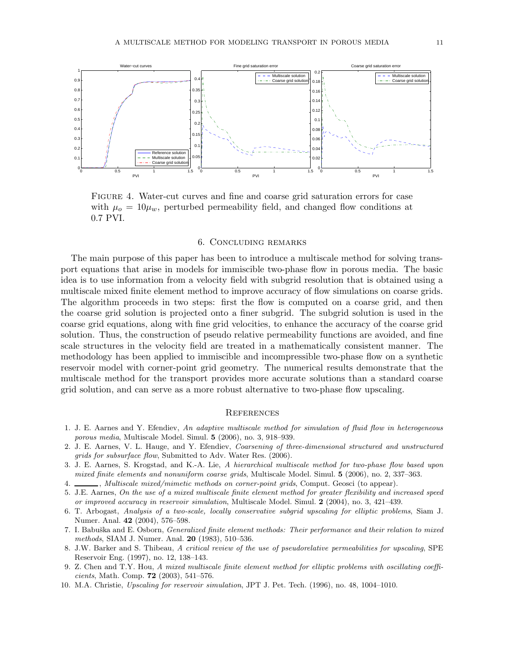

Figure 4. Water-cut curves and fine and coarse grid saturation errors for case with  $\mu_0 = 10\mu_w$ , perturbed permeability field, and changed flow conditions at 0.7 PVI.

#### 6. Concluding remarks

The main purpose of this paper has been to introduce a multiscale method for solving transport equations that arise in models for immiscible two-phase flow in porous media. The basic idea is to use information from a velocity field with subgrid resolution that is obtained using a multiscale mixed finite element method to improve accuracy of flow simulations on coarse grids. The algorithm proceeds in two steps: first the flow is computed on a coarse grid, and then the coarse grid solution is projected onto a finer subgrid. The subgrid solution is used in the coarse grid equations, along with fine grid velocities, to enhance the accuracy of the coarse grid solution. Thus, the construction of pseudo relative permeability functions are avoided, and fine scale structures in the velocity field are treated in a mathematically consistent manner. The methodology has been applied to immiscible and incompressible two-phase flow on a synthetic reservoir model with corner-point grid geometry. The numerical results demonstrate that the multiscale method for the transport provides more accurate solutions than a standard coarse grid solution, and can serve as a more robust alternative to two-phase flow upscaling.

#### **REFERENCES**

- 1. J. E. Aarnes and Y. Efendiev, An adaptive multiscale method for simulation of fluid flow in heterogeneous porous media, Multiscale Model. Simul. 5 (2006), no. 3, 918–939.
- 2. J. E. Aarnes, V. L. Hauge, and Y. Efendiev, Coarsening of three-dimensional structured and unstructured grids for subsurface flow, Submitted to Adv. Water Res. (2006).
- 3. J. E. Aarnes, S. Krogstad, and K.-A. Lie, A hierarchical multiscale method for two-phase flow based upon mixed finite elements and nonuniform coarse grids, Multiscale Model. Simul. 5 (2006), no. 2, 337–363.
- 4. Multiscale mixed/mimetic methods on corner-point grids, Comput. Geosci (to appear).
- 5. J.E. Aarnes, On the use of a mixed multiscale finite element method for greater flexibility and increased speed or improved accuracy in reservoir simulation, Multiscale Model. Simul. 2 (2004), no. 3, 421–439.
- 6. T. Arbogast, Analysis of a two-scale, locally conservative subgrid upscaling for elliptic problems, Siam J. Numer. Anal. 42 (2004), 576–598.
- 7. I. Babuška and E. Osborn, *Generalized finite element methods: Their performance and their relation to mixed* methods, SIAM J. Numer. Anal. 20 (1983), 510–536.
- 8. J.W. Barker and S. Thibeau, A critical review of the use of pseudorelative permeabilities for upscaling, SPE Reservoir Eng. (1997), no. 12, 138–143.
- 9. Z. Chen and T.Y. Hou, A mixed multiscale finite element method for elliptic problems with oscillating coeffi*cients*, Math. Comp. **72** (2003), 541-576.
- 10. M.A. Christie, Upscaling for reservoir simulation, JPT J. Pet. Tech. (1996), no. 48, 1004–1010.